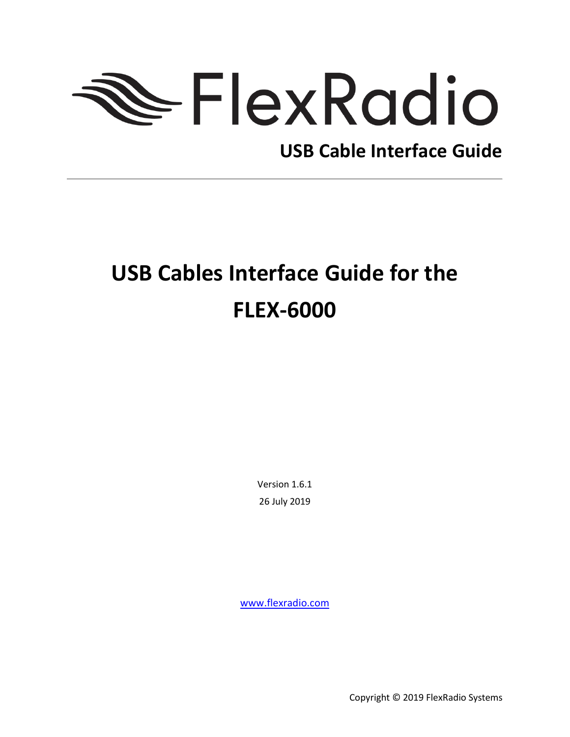# FlexRadio

# **USB Cable Interface Guide**

# **USB Cables Interface Guide for the FLEX-6000**

Version 1.6.1 26 July 2019

<www.flexradio.com>

Copyright © 2019 FlexRadio Systems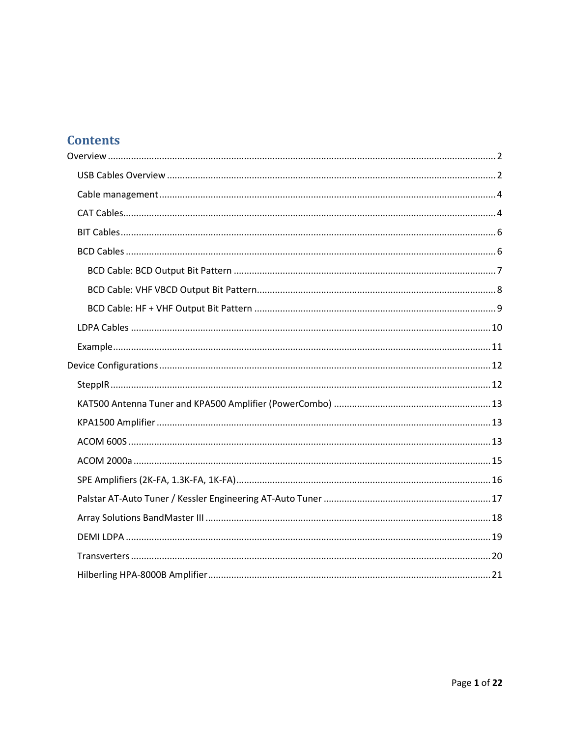#### **Contents**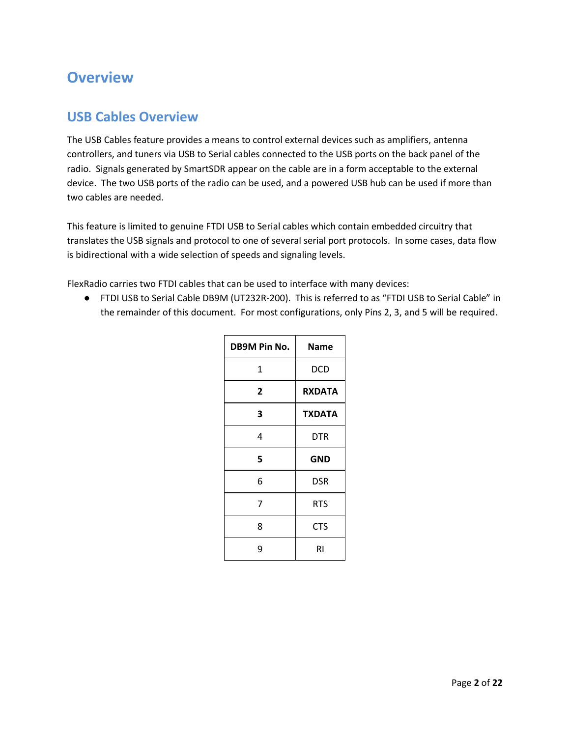#### <span id="page-2-0"></span>**Overview**

#### <span id="page-2-1"></span>**USB Cables Overview**

The USB Cables feature provides a means to control external devices such as amplifiers, antenna controllers, and tuners via USB to Serial cables connected to the USB ports on the back panel of the radio. Signals generated by SmartSDR appear on the cable are in a form acceptable to the external device. The two USB ports of the radio can be used, and a powered USB hub can be used if more than two cables are needed.

This feature is limited to genuine FTDI USB to Serial cables which contain embedded circuitry that translates the USB signals and protocol to one of several serial port protocols. In some cases, data flow is bidirectional with a wide selection of speeds and signaling levels.

FlexRadio carries two FTDI cables that can be used to interface with many devices:

● FTDI USB to Serial Cable DB9M (UT232R-200). This is referred to as "FTDI USB to Serial Cable" in the remainder of this document. For most configurations, only Pins 2, 3, and 5 will be required.

| <b>DB9M Pin No.</b> | <b>Name</b>   |
|---------------------|---------------|
| 1                   | DCD           |
| 2                   | <b>RXDATA</b> |
| 3                   | <b>TXDATA</b> |
| 4                   | DTR           |
| 5                   | <b>GND</b>    |
| 6                   | DSR           |
| 7                   | RTS           |
| 8                   | <b>CTS</b>    |
| 9                   | RI            |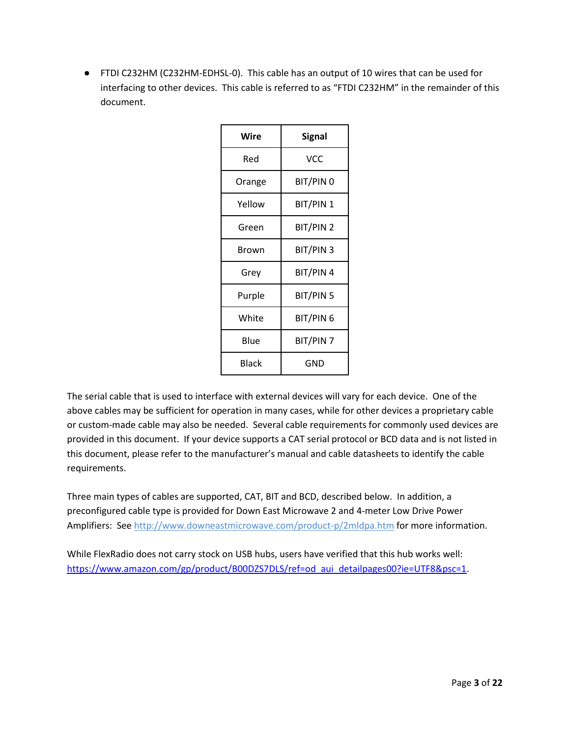● FTDI C232HM (C232HM-EDHSL-0). This cable has an output of 10 wires that can be used for interfacing to other devices. This cable is referred to as "FTDI C232HM" in the remainder of this document.

| Wire   | Signal    |
|--------|-----------|
| Red    | VCC       |
| Orange | BIT/PIN 0 |
| Yellow | BIT/PIN 1 |
| Green  | BIT/PIN 2 |
| Brown  | BIT/PIN 3 |
| Grey   | BIT/PIN 4 |
| Purple | BIT/PIN 5 |
| White  | BIT/PIN 6 |
| Blue   | BIT/PIN 7 |
| Black  | GND       |

The serial cable that is used to interface with external devices will vary for each device. One of the above cables may be sufficient for operation in many cases, while for other devices a proprietary cable or custom-made cable may also be needed. Several cable requirements for commonly used devices are provided in this document. If your device supports a CAT serial protocol or BCD data and is not listed in this document, please refer to the manufacturer's manual and cable datasheets to identify the cable requirements.

Three main types of cables are supported, CAT, BIT and BCD, described below. In addition, a preconfigured cable type is provided for Down East Microwave 2 and 4-meter Low Drive Power Amplifiers: See<http://www.downeastmicrowave.com/product-p/2mldpa.htm> for more information.

While FlexRadio does not carry stock on USB hubs, users have verified that this hub works well: [https://www.amazon.com/gp/product/B00DZS7DLS/ref=od\\_aui\\_detailpages00?ie=UTF8&psc=1.](https://www.amazon.com/gp/product/B00DZS7DLS/ref=od_aui_detailpages00?ie=UTF8&psc=1)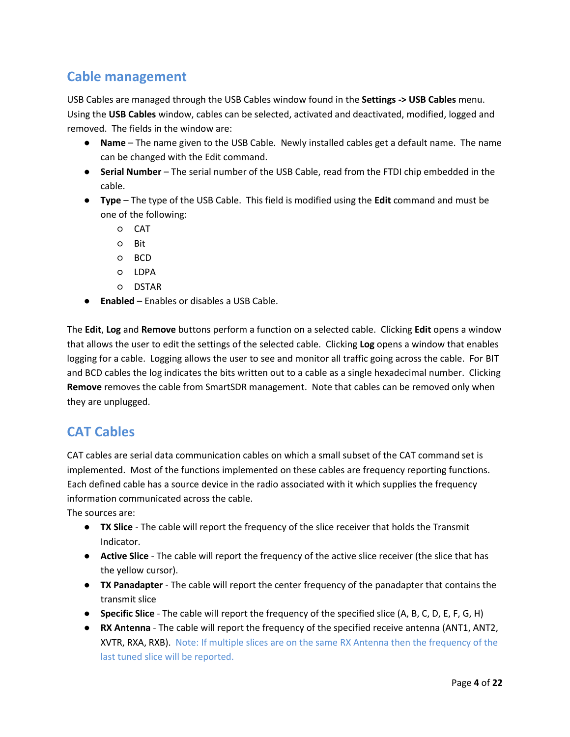#### <span id="page-4-0"></span>**Cable management**

USB Cables are managed through the USB Cables window found in the **Settings -> USB Cables** menu. Using the **USB Cables** window, cables can be selected, activated and deactivated, modified, logged and removed. The fields in the window are:

- **Name** The name given to the USB Cable. Newly installed cables get a default name. The name can be changed with the Edit command.
- **Serial Number** The serial number of the USB Cable, read from the FTDI chip embedded in the cable.
- **Type** The type of the USB Cable. This field is modified using the **Edit** command and must be one of the following:
	- CAT
	- Bit
	- BCD
	- LDPA
	- DSTAR
- **Enabled** Enables or disables a USB Cable.

The **Edit**, **Log** and **Remove** buttons perform a function on a selected cable. Clicking **Edit** opens a window that allows the user to edit the settings of the selected cable. Clicking **Log** opens a window that enables logging for a cable. Logging allows the user to see and monitor all traffic going across the cable. For BIT and BCD cables the log indicates the bits written out to a cable as a single hexadecimal number. Clicking **Remove** removes the cable from SmartSDR management. Note that cables can be removed only when they are unplugged.

#### <span id="page-4-1"></span>**CAT Cables**

CAT cables are serial data communication cables on which a small subset of the CAT command set is implemented. Most of the functions implemented on these cables are frequency reporting functions. Each defined cable has a source device in the radio associated with it which supplies the frequency information communicated across the cable.

The sources are:

- **TX Slice** The cable will report the frequency of the slice receiver that holds the Transmit Indicator.
- **Active Slice** The cable will report the frequency of the active slice receiver (the slice that has the yellow cursor).
- **TX Panadapter** The cable will report the center frequency of the panadapter that contains the transmit slice
- **Specific Slice** The cable will report the frequency of the specified slice (A, B, C, D, E, F, G, H)
- **RX Antenna** The cable will report the frequency of the specified receive antenna (ANT1, ANT2, XVTR, RXA, RXB). Note: If multiple slices are on the same RX Antenna then the frequency of the last tuned slice will be reported.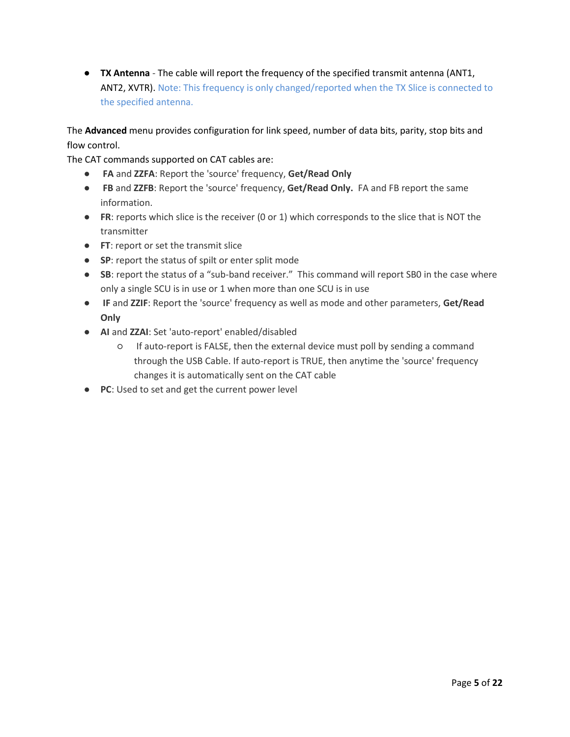● **TX Antenna** - The cable will report the frequency of the specified transmit antenna (ANT1, ANT2, XVTR). Note: This frequency is only changed/reported when the TX Slice is connected to the specified antenna.

The **Advanced** menu provides configuration for link speed, number of data bits, parity, stop bits and flow control.

The CAT commands supported on CAT cables are:

- **FA** and **ZZFA**: Report the 'source' frequency, **Get/Read Only**
- **FB** and **ZZFB**: Report the 'source' frequency, **Get/Read Only.** FA and FB report the same information.
- **FR**: reports which slice is the receiver (0 or 1) which corresponds to the slice that is NOT the transmitter
- **FT**: report or set the transmit slice
- **SP**: report the status of spilt or enter split mode
- **SB**: report the status of a "sub-band receiver." This command will report SB0 in the case where only a single SCU is in use or 1 when more than one SCU is in use
- **IF** and **ZZIF**: Report the 'source' frequency as well as mode and other parameters, **Get/Read Only**
- **AI** and **ZZAI**: Set 'auto-report' enabled/disabled
	- If auto-report is FALSE, then the external device must poll by sending a command through the USB Cable. If auto-report is TRUE, then anytime the 'source' frequency changes it is automatically sent on the CAT cable
- **PC**: Used to set and get the current power level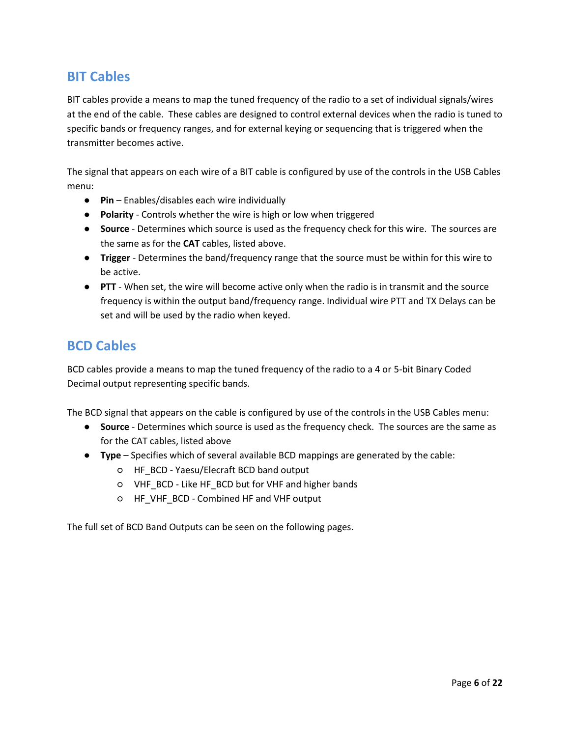#### <span id="page-6-0"></span>**BIT Cables**

BIT cables provide a means to map the tuned frequency of the radio to a set of individual signals/wires at the end of the cable. These cables are designed to control external devices when the radio is tuned to specific bands or frequency ranges, and for external keying or sequencing that is triggered when the transmitter becomes active.

The signal that appears on each wire of a BIT cable is configured by use of the controls in the USB Cables menu:

- **Pin** Enables/disables each wire individually
- **Polarity** Controls whether the wire is high or low when triggered
- **Source** Determines which source is used as the frequency check for this wire. The sources are the same as for the **CAT** cables, listed above.
- **Trigger** Determines the band/frequency range that the source must be within for this wire to be active.
- **PTT** When set, the wire will become active only when the radio is in transmit and the source frequency is within the output band/frequency range. Individual wire PTT and TX Delays can be set and will be used by the radio when keyed.

#### <span id="page-6-1"></span>**BCD Cables**

BCD cables provide a means to map the tuned frequency of the radio to a 4 or 5-bit Binary Coded Decimal output representing specific bands.

The BCD signal that appears on the cable is configured by use of the controls in the USB Cables menu:

- **Source** Determines which source is used as the frequency check. The sources are the same as for the CAT cables, listed above
- **Type** Specifies which of several available BCD mappings are generated by the cable:
	- HF\_BCD Yaesu/Elecraft BCD band output
	- VHF\_BCD Like HF\_BCD but for VHF and higher bands
	- HF\_VHF\_BCD Combined HF and VHF output

The full set of BCD Band Outputs can be seen on the following pages.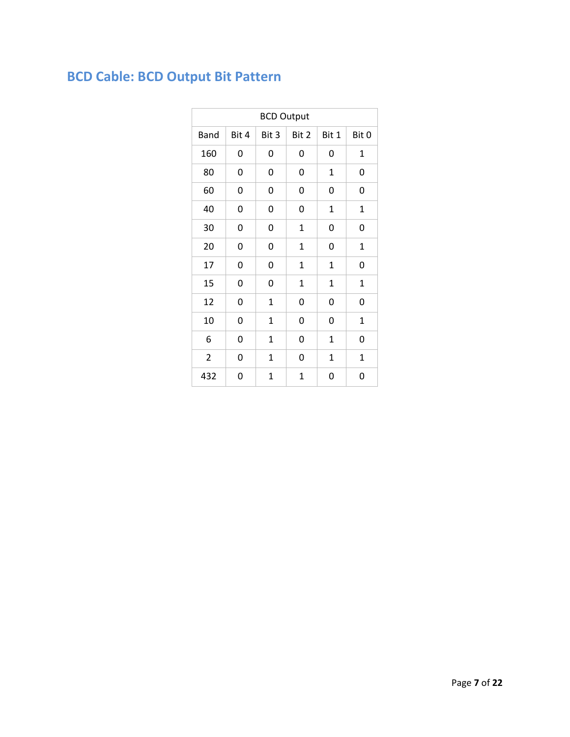# <span id="page-7-0"></span>**BCD Cable: BCD Output Bit Pattern**

| <b>BCD Output</b> |       |             |              |              |             |
|-------------------|-------|-------------|--------------|--------------|-------------|
| <b>Band</b>       | Bit 4 | Bit 3       | Bit 2        | Bit 1        | Bit 0       |
| 160               | 0     | 0           | 0            | 0            | $\mathbf 1$ |
| 80                | 0     | 0           | 0            | $\mathbf{1}$ | 0           |
| 60                | 0     | 0           | 0            | 0            | 0           |
| 40                | 0     | 0           | 0            | $\mathbf{1}$ | $\mathbf 1$ |
| 30                | 0     | 0           | $\mathbf 1$  | 0            | 0           |
| 20                | 0     | 0           | $\mathbf 1$  | 0            | $\mathbf 1$ |
| 17                | 0     | 0           | $\mathbf{1}$ | $\mathbf{1}$ | 0           |
| 15                | 0     | 0           | 1            | $\mathbf{1}$ | 1           |
| 12                | 0     | 1           | 0            | 0            | 0           |
| 10                | 0     | 1           | 0            | 0            | $\mathbf 1$ |
| 6                 | 0     | $\mathbf 1$ | 0            | $\mathbf 1$  | 0           |
| $\overline{2}$    | 0     | 1           | 0            | $\mathbf{1}$ | $\mathbf 1$ |
| 432               | 0     | 1           | $\mathbf 1$  | 0            | 0           |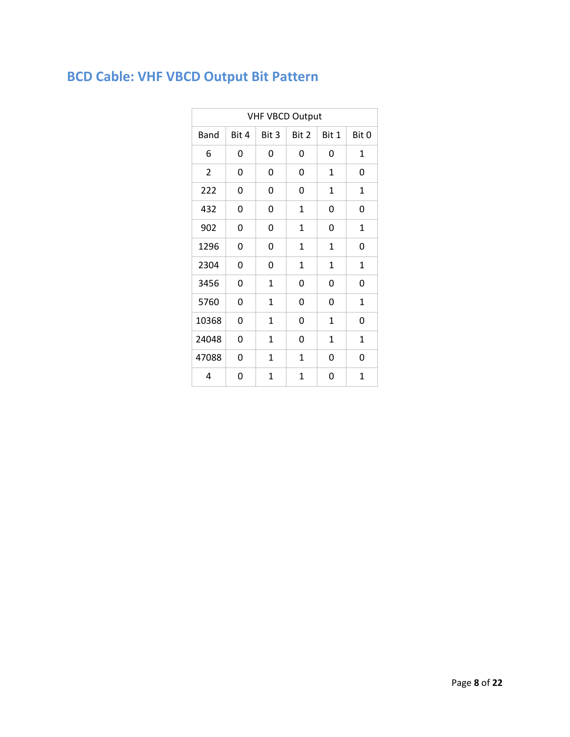# <span id="page-8-0"></span>**BCD Cable: VHF VBCD Output Bit Pattern**

| <b>VHF VBCD Output</b> |       |       |              |              |             |
|------------------------|-------|-------|--------------|--------------|-------------|
| <b>Band</b>            | Bit 4 | Bit 3 | Bit 2        | Bit 1        | Bit 0       |
| 6                      | 0     | 0     | 0            | 0            | 1           |
| 2                      | 0     | 0     | 0            | 1            | 0           |
| 222                    | 0     | 0     | 0            | 1            | $\mathbf 1$ |
| 432                    | 0     | 0     | $\mathbf{1}$ | 0            | 0           |
| 902                    | 0     | 0     | 1            | 0            | 1           |
| 1296                   | 0     | 0     | $\mathbf{1}$ | $\mathbf{1}$ | 0           |
| 2304                   | 0     | 0     | 1            | $\mathbf{1}$ | 1           |
| 3456                   | 0     | 1     | 0            | 0            | 0           |
| 5760                   | 0     | 1     | 0            | 0            | 1           |
| 10368                  | 0     | 1     | 0            | $\mathbf{1}$ | 0           |
| 24048                  | 0     | 1     | 0            | 1            | 1           |
| 47088                  | 0     | 1     | 1            | 0            | 0           |
| 4                      | 0     | 1     | 1            | 0            | 1           |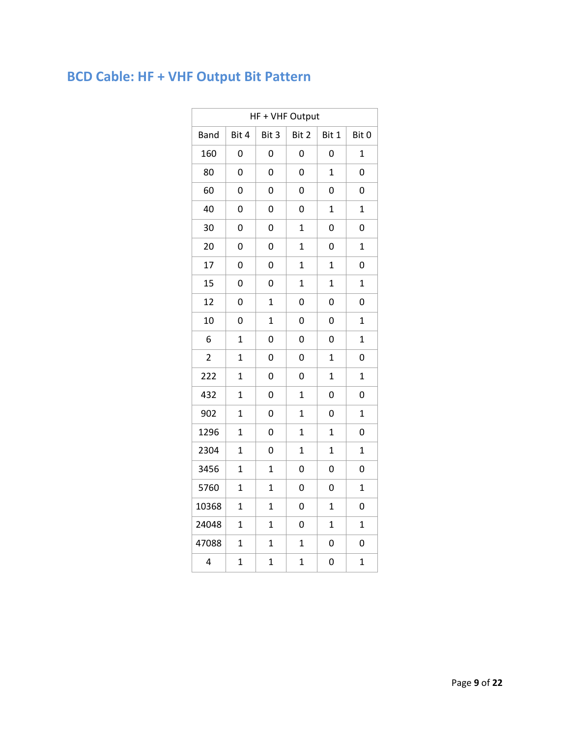# <span id="page-9-0"></span>**BCD Cable: HF + VHF Output Bit Pattern**

| HF + VHF Output |                |                |                |                |                |
|-----------------|----------------|----------------|----------------|----------------|----------------|
| <b>Band</b>     | Bit 4          | Bit 3          | Bit 2          | Bit 1          | Bit 0          |
| 160             | 0              | 0              | 0              | 0              | $\mathbf 1$    |
| 80              | 0              | 0              | 0              | $\overline{1}$ | 0              |
| 60              | 0              | 0              | 0              | 0              | 0              |
| 40              | 0              | 0              | 0              | $\overline{1}$ | $\overline{1}$ |
| 30              | 0              | 0              | $\mathbf 1$    | 0              | 0              |
| 20              | 0              | 0              | $\overline{1}$ | 0              | $\mathbf 1$    |
| 17              | 0              | 0              | $\overline{1}$ | $\mathbf{1}$   | 0              |
| 15              | 0              | 0              | $\overline{1}$ | $\overline{1}$ | $\mathbf 1$    |
| 12              | 0              | $\mathbf{1}$   | 0              | 0              | 0              |
| 10              | 0              | $\overline{1}$ | 0              | 0              | $\overline{1}$ |
| 6               | $\overline{1}$ | 0              | 0              | 0              | $\mathbf 1$    |
| $\overline{2}$  | $\overline{1}$ | 0              | 0              | $\overline{1}$ | 0              |
| 222             | $\overline{1}$ | 0              | 0              | $\overline{1}$ | $\overline{1}$ |
| 432             | $\overline{1}$ | 0              | $\overline{1}$ | 0              | 0              |
| 902             | $\mathbf{1}$   | 0              | $\mathbf 1$    | 0              | $\overline{1}$ |
| 1296            | $\overline{1}$ | 0              | $\overline{1}$ | $\overline{1}$ | 0              |
| 2304            | $\overline{1}$ | 0              | $\overline{1}$ | $\mathbf{1}$   | $\mathbf 1$    |
| 3456            | $\overline{1}$ | $\mathbf 1$    | 0              | 0              | 0              |
| 5760            | $\overline{1}$ | $\mathbf 1$    | 0              | 0              | $\mathbf 1$    |
| 10368           | $\overline{1}$ | $\mathbf 1$    | 0              | $\mathbf{1}$   | 0              |
| 24048           | $\overline{1}$ | $\mathbf 1$    | 0              | $\mathbf{1}$   | $\mathbf 1$    |
| 47088           | $\mathbf 1$    | $\mathbf 1$    | $\overline{1}$ | 0              | 0              |
| 4               | $\mathbf 1$    | $\mathbf 1$    | $\mathbf 1$    | 0              | $\mathbf 1$    |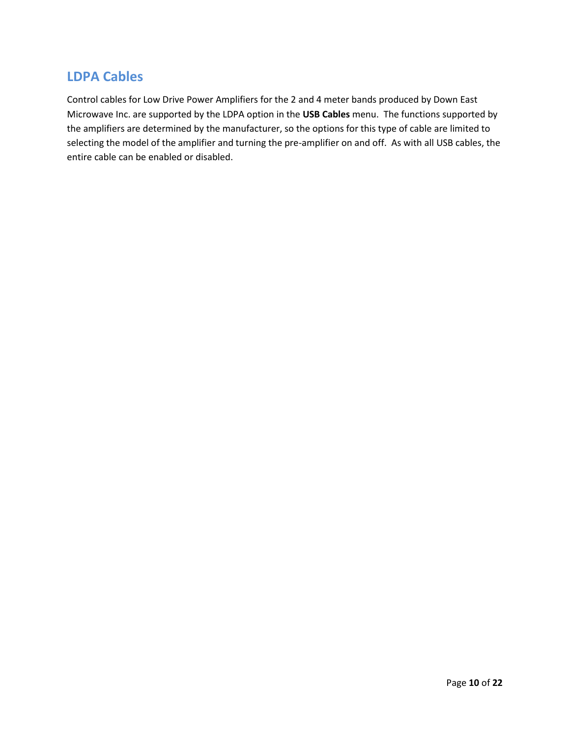#### <span id="page-10-0"></span>**LDPA Cables**

Control cables for Low Drive Power Amplifiers for the 2 and 4 meter bands produced by Down East Microwave Inc. are supported by the LDPA option in the **USB Cables** menu. The functions supported by the amplifiers are determined by the manufacturer, so the options for this type of cable are limited to selecting the model of the amplifier and turning the pre-amplifier on and off. As with all USB cables, the entire cable can be enabled or disabled.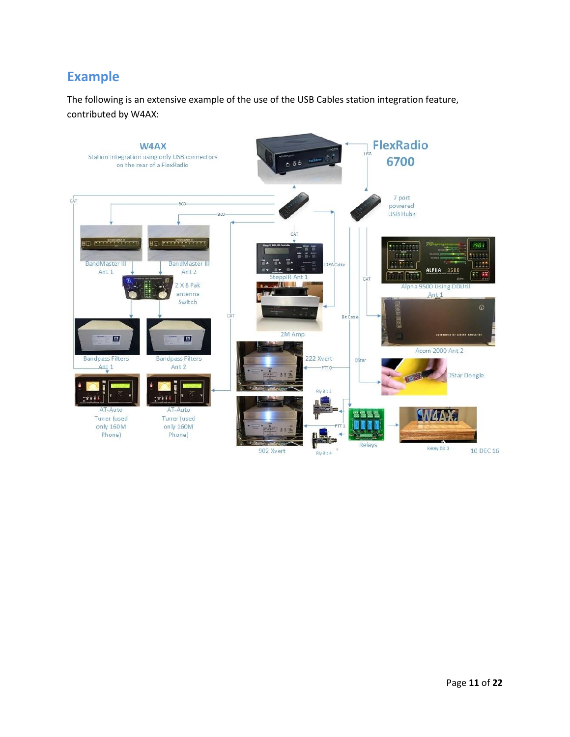#### <span id="page-11-0"></span>**Example**

The following is an extensive example of the use of the USB Cables station integration feature, contributed by W4AX:

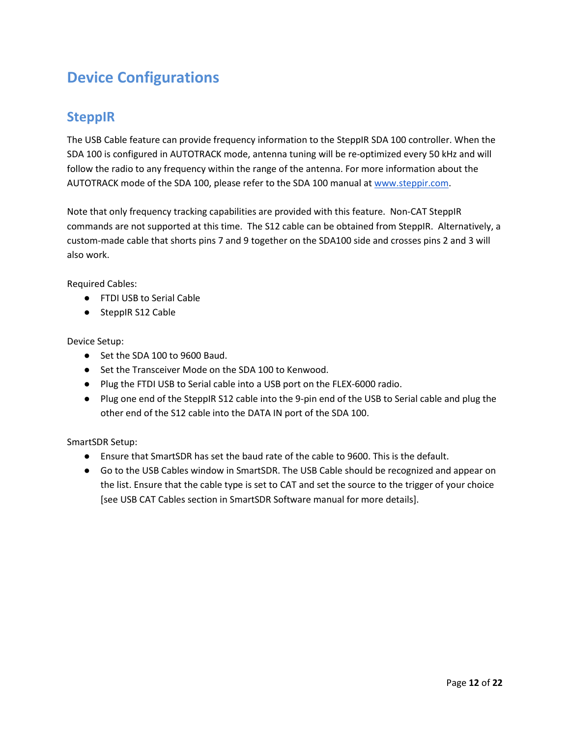# <span id="page-12-0"></span>**Device Configurations**

#### <span id="page-12-1"></span>**SteppIR**

The USB Cable feature can provide frequency information to the SteppIR SDA 100 controller. When the SDA 100 is configured in AUTOTRACK mode, antenna tuning will be re-optimized every 50 kHz and will follow the radio to any frequency within the range of the antenna. For more information about the AUTOTRACK mode of the SDA 100, please refer to the SDA 100 manual at [www.steppir.com.](http://www.steppir.com/)

Note that only frequency tracking capabilities are provided with this feature. Non-CAT SteppIR commands are not supported at this time. The S12 cable can be obtained from SteppIR. Alternatively, a custom-made cable that shorts pins 7 and 9 together on the SDA100 side and crosses pins 2 and 3 will also work.

Required Cables:

- FTDI USB to Serial Cable
- SteppIR S12 Cable

Device Setup:

- Set the SDA 100 to 9600 Baud.
- Set the Transceiver Mode on the SDA 100 to Kenwood.
- Plug the FTDI USB to Serial cable into a USB port on the FLEX-6000 radio.
- Plug one end of the SteppIR S12 cable into the 9-pin end of the USB to Serial cable and plug the other end of the S12 cable into the DATA IN port of the SDA 100.

- Ensure that SmartSDR has set the baud rate of the cable to 9600. This is the default.
- Go to the USB Cables window in SmartSDR. The USB Cable should be recognized and appear on the list. Ensure that the cable type is set to CAT and set the source to the trigger of your choice [see USB CAT Cables section in SmartSDR Software manual for more details].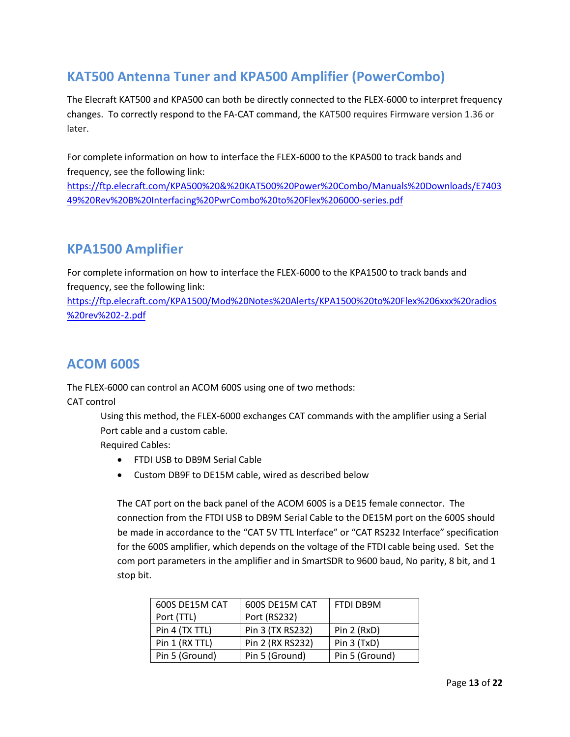#### <span id="page-13-0"></span>**KAT500 Antenna Tuner and KPA500 Amplifier (PowerCombo)**

The Elecraft KAT500 and KPA500 can both be directly connected to the FLEX-6000 to interpret frequency changes. To correctly respond to the FA-CAT command, the KAT500 requires Firmware version 1.36 or later.

For complete information on how to interface the FLEX-6000 to the KPA500 to track bands and frequency, see the following link:

[https://ftp.elecraft.com/KPA500%20&%20KAT500%20Power%20Combo/Manuals%20Downloads/E7403](https://ftp.elecraft.com/KPA500%20&%20KAT500%20Power%20Combo/Manuals%20Downloads/E740349%20Rev%20B%20Interfacing%20PwrCombo%20to%20Flex%206000-series.pdf) [49%20Rev%20B%20Interfacing%20PwrCombo%20to%20Flex%206000-series.pdf](https://ftp.elecraft.com/KPA500%20&%20KAT500%20Power%20Combo/Manuals%20Downloads/E740349%20Rev%20B%20Interfacing%20PwrCombo%20to%20Flex%206000-series.pdf)

#### <span id="page-13-1"></span>**KPA1500 Amplifier**

For complete information on how to interface the FLEX-6000 to the KPA1500 to track bands and frequency, see the following link:

[https://ftp.elecraft.com/KPA1500/Mod%20Notes%20Alerts/KPA1500%20to%20Flex%206xxx%20radios](https://ftp.elecraft.com/KPA1500/Mod%20Notes%20Alerts/KPA1500%20to%20Flex%206xxx%20radios%20rev%202-2.pdf) [%20rev%202-2.pdf](https://ftp.elecraft.com/KPA1500/Mod%20Notes%20Alerts/KPA1500%20to%20Flex%206xxx%20radios%20rev%202-2.pdf)

#### <span id="page-13-2"></span>**ACOM 600S**

The FLEX-6000 can control an ACOM 600S using one of two methods:

CAT control

Using this method, the FLEX-6000 exchanges CAT commands with the amplifier using a Serial Port cable and a custom cable.

Required Cables:

- FTDI USB to DB9M Serial Cable
- Custom DB9F to DE15M cable, wired as described below

The CAT port on the back panel of the ACOM 600S is a DE15 female connector. The connection from the FTDI USB to DB9M Serial Cable to the DE15M port on the 600S should be made in accordance to the "CAT 5V TTL Interface" or "CAT RS232 Interface" specification for the 600S amplifier, which depends on the voltage of the FTDI cable being used. Set the com port parameters in the amplifier and in SmartSDR to 9600 baud, No parity, 8 bit, and 1 stop bit.

| 600S DE15M CAT | 600S DE15M CAT   | FTDI DB9M      |
|----------------|------------------|----------------|
| Port (TTL)     | Port (RS232)     |                |
| Pin 4 (TX TTL) | Pin 3 (TX RS232) | Pin $2$ (RxD)  |
| Pin 1 (RX TTL) | Pin 2 (RX RS232) | Pin 3 (TxD)    |
| Pin 5 (Ground) | Pin 5 (Ground)   | Pin 5 (Ground) |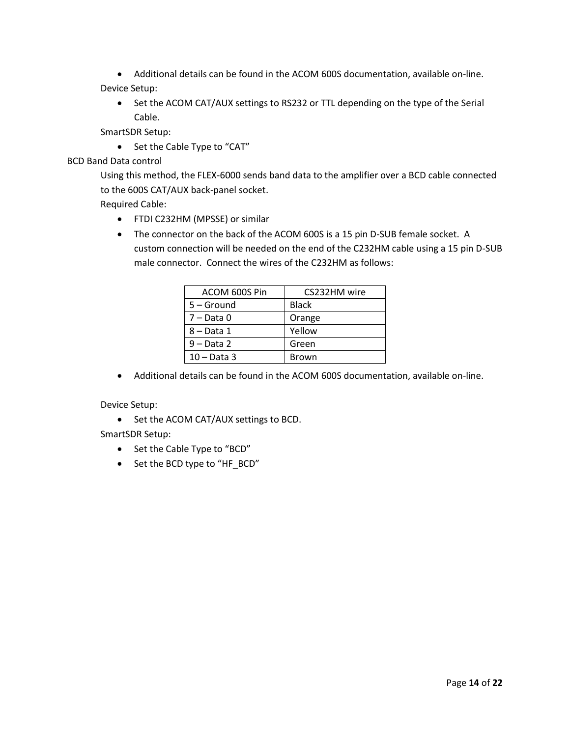- Additional details can be found in the ACOM 600S documentation, available on-line. Device Setup:
	- Set the ACOM CAT/AUX settings to RS232 or TTL depending on the type of the Serial Cable.

SmartSDR Setup:

• Set the Cable Type to "CAT"

#### BCD Band Data control

Using this method, the FLEX-6000 sends band data to the amplifier over a BCD cable connected to the 600S CAT/AUX back-panel socket.

Required Cable:

- FTDI C232HM (MPSSE) or similar
- The connector on the back of the ACOM 600S is a 15 pin D-SUB female socket. A custom connection will be needed on the end of the C232HM cable using a 15 pin D-SUB male connector. Connect the wires of the C232HM as follows:

| ACOM 600S Pin | CS232HM wire |
|---------------|--------------|
| 5 – Ground    | <b>Black</b> |
| $7 - Data 0$  | Orange       |
| 8 – Data 1    | Yellow       |
| $9 - Data 2$  | Green        |
| $10 - Data$ 3 | <b>Brown</b> |

Additional details can be found in the ACOM 600S documentation, available on-line.

Device Setup:

• Set the ACOM CAT/AUX settings to BCD.

- Set the Cable Type to "BCD"
- Set the BCD type to "HF\_BCD"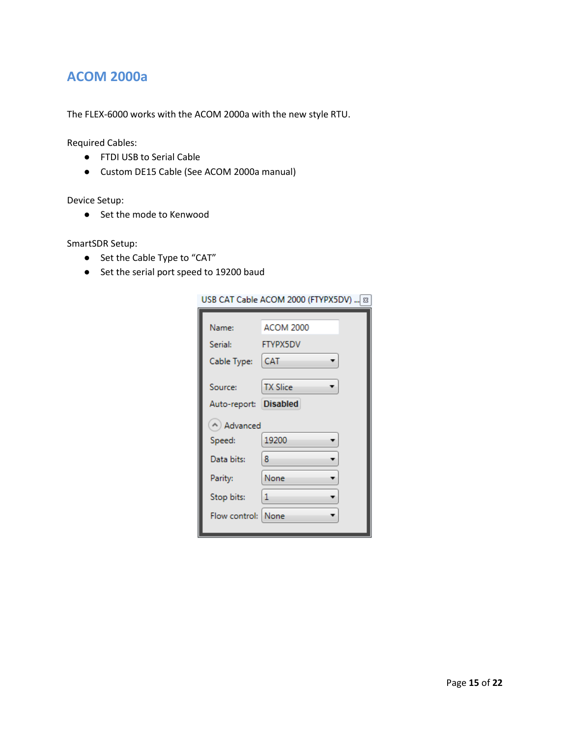#### <span id="page-15-0"></span>**ACOM 2000a**

The FLEX-6000 works with the ACOM 2000a with the new style RTU.

Required Cables:

- FTDI USB to Serial Cable
- Custom DE15 Cable (See ACOM 2000a manual)

#### Device Setup:

● Set the mode to Kenwood

- Set the Cable Type to "CAT"
- Set the serial port speed to 19200 baud

|                       | USB CAT Cable ACOM 2000 (FTYPX5DV)    83 |
|-----------------------|------------------------------------------|
|                       |                                          |
| Name:                 | <b>ACOM 2000</b>                         |
| Serial:               | <b>FTYPX5DV</b>                          |
| Cable Type:           | CAT                                      |
|                       |                                          |
| Source:               | <b>TX Slice</b>                          |
| Auto-report: Disabled |                                          |
| A) Advanced           |                                          |
| Speed:                | 19200                                    |
| Data bits:            | 8                                        |
| Parity:               | None                                     |
| Stop bits:            | 1                                        |
| Flow control: None    |                                          |
|                       |                                          |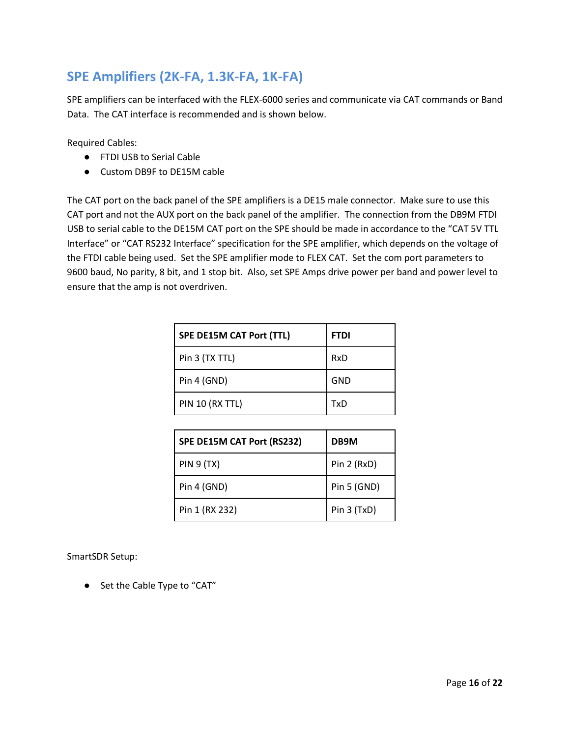#### <span id="page-16-0"></span>**SPE Amplifiers (2K-FA, 1.3K-FA, 1K-FA)**

SPE amplifiers can be interfaced with the FLEX-6000 series and communicate via CAT commands or Band Data. The CAT interface is recommended and is shown below.

Required Cables:

- FTDI USB to Serial Cable
- Custom DB9F to DE15M cable

The CAT port on the back panel of the SPE amplifiers is a DE15 male connector. Make sure to use this CAT port and not the AUX port on the back panel of the amplifier. The connection from the DB9M FTDI USB to serial cable to the DE15M CAT port on the SPE should be made in accordance to the "CAT 5V TTL Interface" or "CAT RS232 Interface" specification for the SPE amplifier, which depends on the voltage of the FTDI cable being used. Set the SPE amplifier mode to FLEX CAT. Set the com port parameters to 9600 baud, No parity, 8 bit, and 1 stop bit. Also, set SPE Amps drive power per band and power level to ensure that the amp is not overdriven.

| <b>SPE DE15M CAT Port (TTL)</b> | <b>FTDI</b> |
|---------------------------------|-------------|
| Pin 3 (TX TTL)                  | RxD         |
| Pin 4 (GND)                     | <b>GND</b>  |
| <b>PIN 10 (RX TTL)</b>          | TxD         |

| SPE DE15M CAT Port (RS232) | DB9M        |
|----------------------------|-------------|
| <b>PIN 9 (TX)</b>          | Pin 2 (RxD) |
| Pin 4 (GND)                | Pin 5 (GND) |
| Pin 1 (RX 232)             | Pin 3 (TxD) |

SmartSDR Setup:

● Set the Cable Type to "CAT"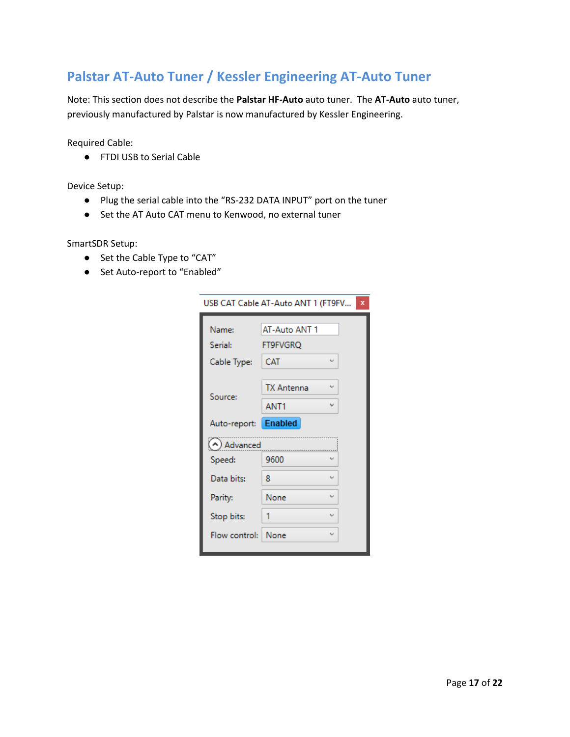#### <span id="page-17-0"></span>**Palstar AT-Auto Tuner / Kessler Engineering AT-Auto Tuner**

Note: This section does not describe the **Palstar HF-Auto** auto tuner. The **AT-Auto** auto tuner, previously manufactured by Palstar is now manufactured by Kessler Engineering.

Required Cable:

● FTDI USB to Serial Cable

Device Setup:

- Plug the serial cable into the "RS-232 DATA INPUT" port on the tuner
- Set the AT Auto CAT menu to Kenwood, no external tuner

- Set the Cable Type to "CAT"
- Set Auto-report to "Enabled"

| USB CAT Cable AT-Auto ANT 1 (FT9FV |                   |           |  |  |
|------------------------------------|-------------------|-----------|--|--|
| Name:                              | AT-Auto ANT 1     |           |  |  |
| <b>Serial:</b>                     | <b>FT9FVGRO</b>   |           |  |  |
| Cable Type:                        | <b>CAT</b>        | u         |  |  |
| Source:                            | <b>TX Antenna</b> | $\ddot{}$ |  |  |
|                                    | ANT <sub>1</sub>  | v         |  |  |
| Auto-report: Enabled               |                   |           |  |  |
| (A) Advanced                       |                   |           |  |  |
| Speed:                             | 9600              |           |  |  |
| Data bits:                         | 8                 | u         |  |  |
| Parity:                            | None              | $\ddot{}$ |  |  |
| Stop bits:                         | 1                 | U         |  |  |
| Flow control:   None               |                   | u         |  |  |
|                                    |                   |           |  |  |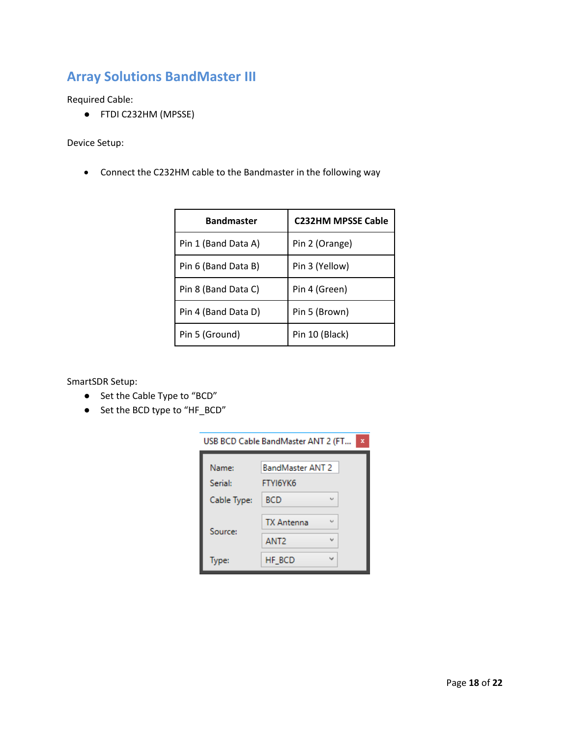#### <span id="page-18-0"></span>**Array Solutions BandMaster III**

Required Cable:

● FTDI C232HM (MPSSE)

Device Setup:

Connect the C232HM cable to the Bandmaster in the following way

| <b>Bandmaster</b>   | <b>C232HM MPSSE Cable</b> |
|---------------------|---------------------------|
| Pin 1 (Band Data A) | Pin 2 (Orange)            |
| Pin 6 (Band Data B) | Pin 3 (Yellow)            |
| Pin 8 (Band Data C) | Pin 4 (Green)             |
| Pin 4 (Band Data D) | Pin 5 (Brown)             |
| Pin 5 (Ground)      | Pin 10 (Black)            |

- Set the Cable Type to "BCD"
- Set the BCD type to "HF\_BCD"

| USB BCD Cable BandMaster ANT 2 (FT<br>× |                                     |        |  |
|-----------------------------------------|-------------------------------------|--------|--|
| Name:<br><b>Serial:</b>                 | <b>BandMaster ANT 2</b><br>FTYI6YK6 |        |  |
| Cable Type:                             | <b>BCD</b>                          | $\sim$ |  |
| Source:                                 | <b>TX Antenna</b>                   | فسا    |  |
|                                         | ANT <sub>2</sub>                    |        |  |
| Type:                                   | HF BCD                              |        |  |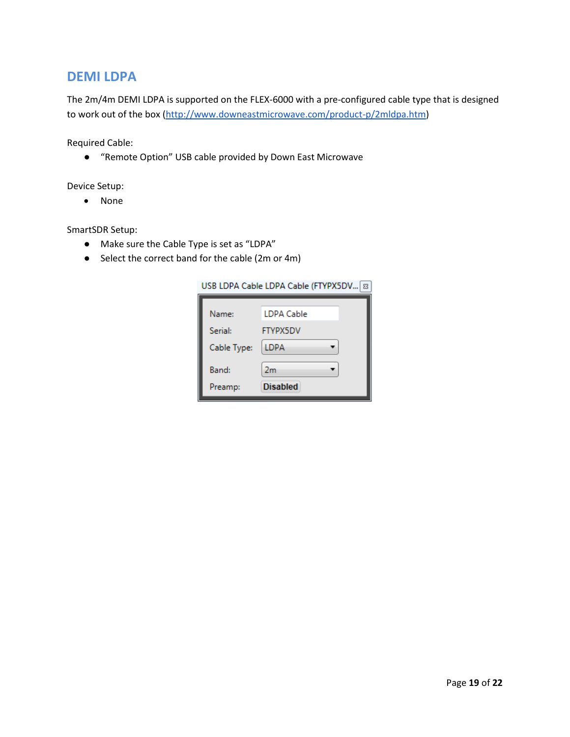#### <span id="page-19-0"></span>**DEMI LDPA**

The 2m/4m DEMI LDPA is supported on the FLEX-6000 with a pre-configured cable type that is designed to work out of the box [\(http://www.downeastmicrowave.com/product-p/2mldpa.htm\)](http://www.downeastmicrowave.com/product-p/2mldpa.htm)

Required Cable:

● "Remote Option" USB cable provided by Down East Microwave

Device Setup:

None

- Make sure the Cable Type is set as "LDPA"
- Select the correct band for the cable (2m or 4m)

| USB LDPA Cable LDPA Cable (FTYPX5DV   83 |  |  |
|------------------------------------------|--|--|
| LDPA Cable                               |  |  |
| <b>FTYPX5DV</b>                          |  |  |
| LDPA                                     |  |  |
| 2 <sub>m</sub>                           |  |  |
| <b>Disabled</b>                          |  |  |
|                                          |  |  |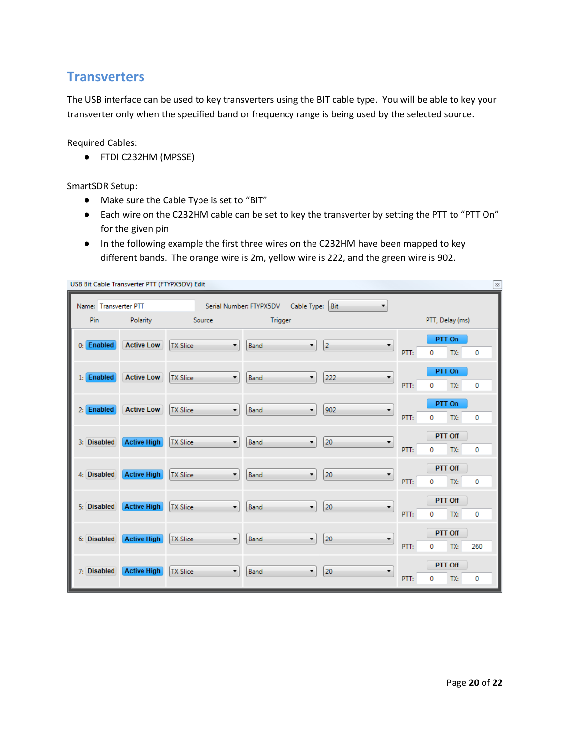#### <span id="page-20-0"></span>**Transverters**

The USB interface can be used to key transverters using the BIT cable type. You will be able to key your transverter only when the specified band or frequency range is being used by the selected source.

Required Cables:

● FTDI C232HM (MPSSE)

SmartSDR Setup:

- Make sure the Cable Type is set to "BIT"
- Each wire on the C232HM cable can be set to key the transverter by setting the PTT to "PTT On" for the given pin
- In the following example the first three wires on the C232HM have been mapped to key different bands. The orange wire is 2m, yellow wire is 222, and the green wire is 902.

| USB Bit Cable Transverter PTT (FTYPX5DV) Edit<br>$\boldsymbol{\Xi}$ |                    |                                             |                                            |                     |                                         |
|---------------------------------------------------------------------|--------------------|---------------------------------------------|--------------------------------------------|---------------------|-----------------------------------------|
| Name: Transverter PTT                                               |                    |                                             | Cable Type: Bit<br>Serial Number: FTYPX5DV | ۰                   |                                         |
| Pin                                                                 | Polarity           | Source                                      | Trigger                                    |                     | PTT, Delay (ms)                         |
| 0: Enabled                                                          | <b>Active Low</b>  | $\bar{\mathbf{v}}$<br><b>TX Slice</b>       | Band<br>۰                                  | $\overline{2}$<br>۰ | PTT On<br>PTT:<br>TX:<br>0<br>0         |
| $1:$ Enabled                                                        | <b>Active Low</b>  | <b>TX Slice</b><br>۰                        | Band<br>۰                                  | 222<br>۰            | PTT On<br>PTT:<br>TX:<br>0<br>0         |
| 2: Enabled                                                          | <b>Active Low</b>  | <b>TX Slice</b><br>$\cdot$                  | Band<br>۰                                  | 902<br>۰            | PTT On<br>PTT:<br>TX:<br>0<br>0         |
| 3: Disabled                                                         | <b>Active High</b> | <b>TX Slice</b><br>۰                        | Band<br>۰                                  | 20<br>۰             | PTT Off<br>PTT:<br>0<br>TX:<br>0        |
| 4: Disabled                                                         | <b>Active High</b> | <b>TX Slice</b><br>$\overline{\phantom{a}}$ | ۰<br>Band                                  | 20<br>,             | <b>PTT Off</b><br>PTT:<br>0<br>TX:<br>0 |
| 5: Disabled                                                         | <b>Active High</b> | <b>TX Slice</b><br>$\bar{\phantom{a}}$      | Band<br>۰                                  | 20<br>۰             | <b>PTT Off</b><br>0<br>PTT:<br>TX:<br>0 |
| 6: Disabled                                                         | <b>Active High</b> | <b>TX Slice</b><br>۰                        | $\overline{\phantom{a}}$<br>Band           | 20<br>۰             | PTT Off<br>PTT:<br>0<br>TX:<br>260      |
| 7: Disabled                                                         | <b>Active High</b> | <b>TX Slice</b><br>۰                        | Band<br>۰                                  | 20<br>۰             | PTT Off<br>PTT:<br>TX:<br>0<br>0        |